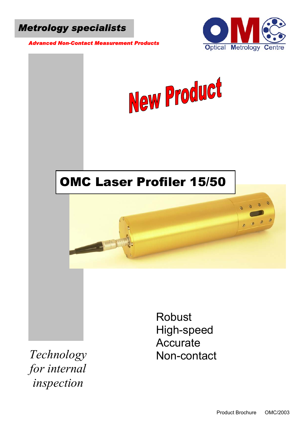

 *Advanced Non-Contact Measurement Products* 





*Technology for internal inspection* 

Non-contact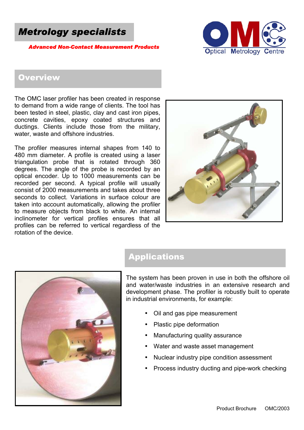

*\dvanced Non-Contact Measurement Product* 



### **Overview**

The OMC laser profiler has been created in response to demand from a wide range of clients. The tool has been tested in steel, plastic, clay and cast iron pipes, concrete cavities, epoxy coated structures and ductings. Clients include those from the military, water, waste and offshore industries.

The profiler measures internal shapes from 140 to 480 mm diameter. A profile is created using a laser triangulation probe that is rotated through 360 degrees. The angle of the probe is recorded by an optical encoder. Up to 1000 measurements can be recorded per second. A typical profile will usually consist of 2000 measurements and takes about three seconds to collect. Variations in surface colour are taken into account automatically, allowing the profiler to measure objects from black to white. An internal inclinometer for vertical profiles ensures that all profiles can be referred to vertical regardless of the rotation of the device.



# Applications

The system has been proven in use in both the offshore oil and water/waste industries in an extensive research and development phase. The profiler is robustly built to operate in industrial environments, for example:

- Oil and gas pipe measurement
- Plastic pipe deformation
- Manufacturing quality assurance
- Water and waste asset management
- Nuclear industry pipe condition assessment
- Process industry ducting and pipe-work checking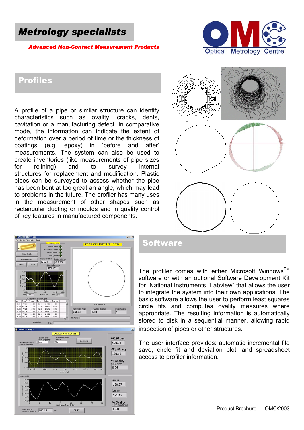# *Metrology specialists*

#### *Advanced Non-Contact Measurement Products*



#### Profiles

A profile of a pipe or similar structure can identify characteristics such as ovality, cracks, dents, cavitation or a manufacturing defect. In comparative mode, the information can indicate the extent of deformation over a period of time or the thickness of coatings (e.g. epoxy) in 'before and after' measurements. The system can also be used to create inventories (like measurements of pipe sizes for relining) and to survey internal structures for replacement and modification. Plastic pipes can be surveyed to assess whether the pipe has been bent at too great an angle, which may lead to problems in the future. The profiler has many uses in the measurement of other shapes such as rectangular ducting or moulds and in quality control of key features in manufactured components.





#### **Software**

The profiler comes with either Microsoft Windows<sup>TM</sup> software or with an optional Software Development Kit for National Instruments "Labview" that allows the user to integrate the system into their own applications. The basic software allows the user to perform least squares circle fits and computes ovality measures where appropriate. The resulting information is automatically stored to disk in a sequential manner, allowing rapid nspection of pipes or other structures. i

T he user interface provides: automatic incremental file s ave, circle fit and deviation plot, and spreadsheet a ccess to profiler information.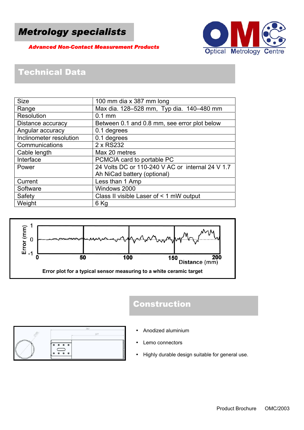# *Metrology specialists*

 *Advanced Non-Contact Measurement Products* 



# Technical Data

| <b>Size</b>             | 100 mm dia x 387 mm long                         |  |
|-------------------------|--------------------------------------------------|--|
| Range                   | Max dia. 128-528 mm, Typ dia. 140-480 mm         |  |
| <b>Resolution</b>       | $0.1$ mm                                         |  |
| Distance accuracy       | Between 0.1 and 0.8 mm, see error plot below     |  |
| Angular accuracy        | 0.1 degrees                                      |  |
| Inclinometer resolution | 0.1 degrees                                      |  |
| Communications          | 2 x RS232                                        |  |
| Cable length            | Max 20 metres                                    |  |
| Interface               | PCMCIA card to portable PC                       |  |
| Power                   | 24 Volts DC or 110-240 V AC or internal 24 V 1.7 |  |
|                         | Ah NiCad battery (optional)                      |  |
| Current                 | Less than 1 Amp                                  |  |
| Software                | Windows 2000                                     |  |
| Safety                  | Class II visible Laser of < 1 mW output          |  |
| Weight                  | 6 Kg                                             |  |



# Construction

- Anodized aluminium
- Lemo connectors
- Highly durable design suitable for general use.